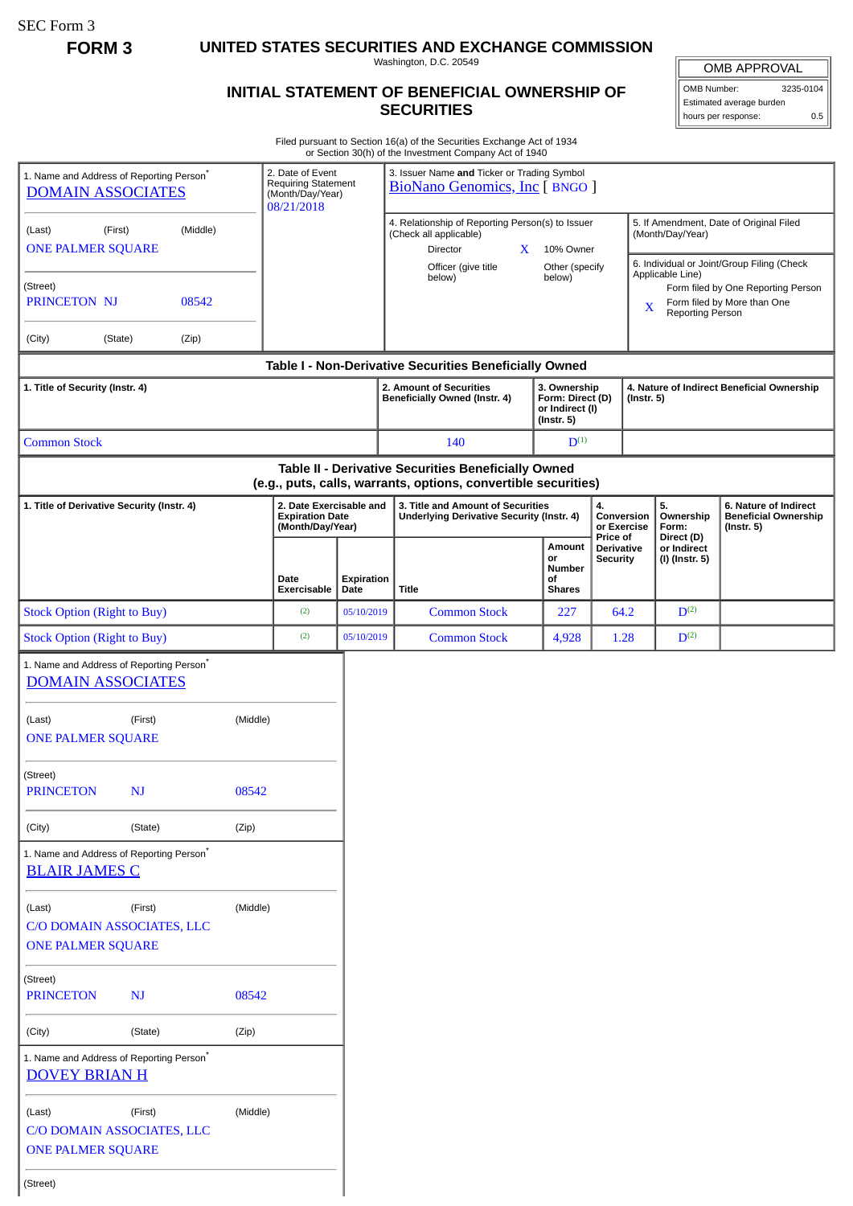SEC Form 3

**FORM 3 UNITED STATES SECURITIES AND EXCHANGE COMMISSION**

Washington, D.C. 20549

## **INITIAL STATEMENT OF BENEFICIAL OWNERSHIP OF SECURITIES**

OMB APPROVAL OMB Number: 3235-0104

Estimated average burden hours per response: 0.5

Filed pursuant to Section 16(a) of the Securities Exchange Act of 1934 or Section 30(h) of the Investment Company Act of 1940

|                                                                                                                                                   |         |       |                                                                           |                                                                                       | or Section Softly of the investment Company Act or 1940                                                               |                                                                   |                                                  |                                                                                                                                                                                                                                    |  |
|---------------------------------------------------------------------------------------------------------------------------------------------------|---------|-------|---------------------------------------------------------------------------|---------------------------------------------------------------------------------------|-----------------------------------------------------------------------------------------------------------------------|-------------------------------------------------------------------|--------------------------------------------------|------------------------------------------------------------------------------------------------------------------------------------------------------------------------------------------------------------------------------------|--|
| 1. Name and Address of Reporting Person <sup>®</sup><br><b>DOMAIN ASSOCIATES</b>                                                                  |         |       | 2. Date of Event<br>Requiring Statement<br>(Month/Day/Year)<br>08/21/2018 |                                                                                       | 3. Issuer Name and Ticker or Trading Symbol<br><b>BioNano Genomics, Inc [ BNGO ]</b>                                  |                                                                   |                                                  |                                                                                                                                                                                                                                    |  |
| (Middle)<br>(Last)<br>(First)<br><b>ONE PALMER SQUARE</b>                                                                                         |         |       |                                                                           |                                                                                       | 4. Relationship of Reporting Person(s) to Issuer<br>(Check all applicable)<br>Director<br>X.<br>Officer (give title   | 10% Owner<br>Other (specify<br>below)                             |                                                  | 5. If Amendment, Date of Original Filed<br>(Month/Day/Year)<br>6. Individual or Joint/Group Filing (Check<br>Applicable Line)<br>Form filed by One Reporting Person<br>Form filed by More than One<br>X<br><b>Reporting Person</b> |  |
| (Street)<br>PRINCETON NJ<br>08542                                                                                                                 |         |       |                                                                           |                                                                                       | below)                                                                                                                |                                                                   |                                                  |                                                                                                                                                                                                                                    |  |
| (City)                                                                                                                                            | (State) | (Zip) |                                                                           |                                                                                       |                                                                                                                       |                                                                   |                                                  |                                                                                                                                                                                                                                    |  |
|                                                                                                                                                   |         |       |                                                                           |                                                                                       | Table I - Non-Derivative Securities Beneficially Owned                                                                |                                                                   |                                                  |                                                                                                                                                                                                                                    |  |
| 1. Title of Security (Instr. 4)                                                                                                                   |         |       |                                                                           |                                                                                       | 2. Amount of Securities<br>Beneficially Owned (Instr. 4)                                                              | 3. Ownership<br>Form: Direct (D)<br>or Indirect (I)<br>(Instr. 5) |                                                  | 4. Nature of Indirect Beneficial Ownership<br>$($ Instr. 5 $)$                                                                                                                                                                     |  |
| <b>Common Stock</b>                                                                                                                               |         |       |                                                                           |                                                                                       | 140                                                                                                                   | $D^{(1)}$                                                         |                                                  |                                                                                                                                                                                                                                    |  |
|                                                                                                                                                   |         |       |                                                                           |                                                                                       | Table II - Derivative Securities Beneficially Owned<br>(e.g., puts, calls, warrants, options, convertible securities) |                                                                   |                                                  |                                                                                                                                                                                                                                    |  |
| 2. Date Exercisable and<br>1. Title of Derivative Security (Instr. 4)<br><b>Expiration Date</b><br>(Month/Day/Year)<br>Date<br><b>Exercisable</b> |         |       |                                                                           | 3. Title and Amount of Securities<br><b>Underlying Derivative Security (Instr. 4)</b> | 4.<br>Conversion<br>or Exercise                                                                                       |                                                                   | 5.<br>Ownership<br>Form:                         | 6. Nature of Indirect<br><b>Beneficial Ownership</b><br>$($ Instr. 5 $)$                                                                                                                                                           |  |
|                                                                                                                                                   |         |       |                                                                           | <b>Expiration</b><br>Date                                                             | <b>Title</b>                                                                                                          | Amount<br>or<br>Number<br>οf<br><b>Shares</b>                     | Price of<br><b>Derivative</b><br><b>Security</b> | Direct (D)<br>or Indirect<br>(I) (Instr. 5)                                                                                                                                                                                        |  |
| <b>Stock Option (Right to Buy)</b>                                                                                                                |         |       | (2)                                                                       | 05/10/2019                                                                            | <b>Common Stock</b>                                                                                                   | 227                                                               | 64.2                                             | $D^{(2)}$                                                                                                                                                                                                                          |  |
| <b>Stock Option (Right to Buy)</b>                                                                                                                |         |       | (2)                                                                       | 05/10/2019                                                                            | <b>Common Stock</b>                                                                                                   | 4,928                                                             | 1.28                                             | $D^{(2)}$                                                                                                                                                                                                                          |  |
| 1. Name and Address of Reporting Person <sup>*</sup><br><b>DOMAIN ASSOCIATES</b>                                                                  |         |       |                                                                           |                                                                                       |                                                                                                                       |                                                                   |                                                  |                                                                                                                                                                                                                                    |  |
| (First)<br>(Middle)<br>(Last)<br><b>ONE PALMER SQUARE</b>                                                                                         |         |       |                                                                           |                                                                                       |                                                                                                                       |                                                                   |                                                  |                                                                                                                                                                                                                                    |  |
| (Street)<br><b>PRINCETON</b><br>08542<br>NJ                                                                                                       |         |       |                                                                           |                                                                                       |                                                                                                                       |                                                                   |                                                  |                                                                                                                                                                                                                                    |  |
| (State)<br>(Zip)<br>(City)                                                                                                                        |         |       |                                                                           |                                                                                       |                                                                                                                       |                                                                   |                                                  |                                                                                                                                                                                                                                    |  |
| 1. Name and Address of Reporting Person <sup>®</sup><br><b>BLAIR JAMES C</b>                                                                      |         |       |                                                                           |                                                                                       |                                                                                                                       |                                                                   |                                                  |                                                                                                                                                                                                                                    |  |
| (Middle)<br>(Last)<br>(First)<br>C/O DOMAIN ASSOCIATES, LLC<br><b>ONE PALMER SQUARE</b>                                                           |         |       |                                                                           |                                                                                       |                                                                                                                       |                                                                   |                                                  |                                                                                                                                                                                                                                    |  |
| (Street)<br>08542<br><b>PRINCETON</b><br><b>NJ</b>                                                                                                |         |       |                                                                           |                                                                                       |                                                                                                                       |                                                                   |                                                  |                                                                                                                                                                                                                                    |  |
| (State)<br>(City)<br>(Zip)                                                                                                                        |         |       |                                                                           |                                                                                       |                                                                                                                       |                                                                   |                                                  |                                                                                                                                                                                                                                    |  |
| 1. Name and Address of Reporting Person*<br><b>DOVEY BRIAN H</b>                                                                                  |         |       |                                                                           |                                                                                       |                                                                                                                       |                                                                   |                                                  |                                                                                                                                                                                                                                    |  |
| (First)<br>(Middle)<br>(Last)<br>C/O DOMAIN ASSOCIATES, LLC<br><b>ONE PALMER SQUARE</b>                                                           |         |       |                                                                           |                                                                                       |                                                                                                                       |                                                                   |                                                  |                                                                                                                                                                                                                                    |  |
| (Street)                                                                                                                                          |         |       |                                                                           |                                                                                       |                                                                                                                       |                                                                   |                                                  |                                                                                                                                                                                                                                    |  |